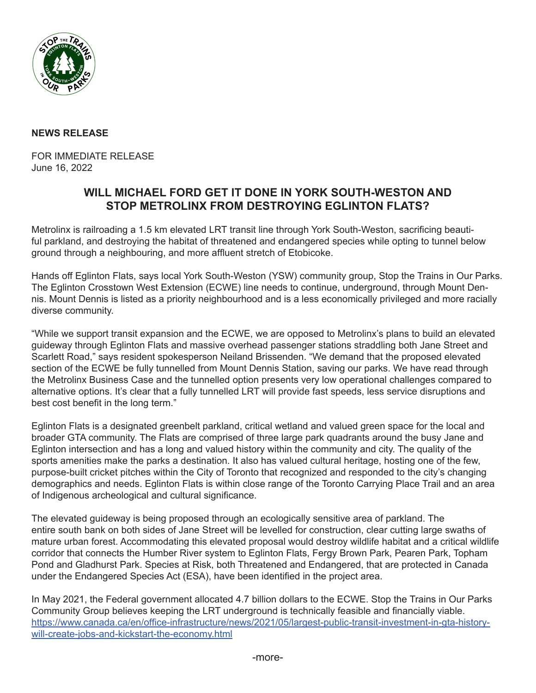

## **NEWS RELEASE**

FOR IMMEDIATE RELEASE June 16, 2022

## **WILL MICHAEL FORD GET IT DONE IN YORK SOUTH-WESTON AND STOP METROLINX FROM DESTROYING EGLINTON FLATS?**

Metrolinx is railroading a 1.5 km elevated LRT transit line through York South-Weston, sacrificing beautiful parkland, and destroying the habitat of threatened and endangered species while opting to tunnel below ground through a neighbouring, and more affluent stretch of Etobicoke.

Hands off Eglinton Flats, says local York South-Weston (YSW) community group, Stop the Trains in Our Parks. The Eglinton Crosstown West Extension (ECWE) line needs to continue, underground, through Mount Dennis. Mount Dennis is listed as a priority neighbourhood and is a less economically privileged and more racially diverse community.

"While we support transit expansion and the ECWE, we are opposed to Metrolinx's plans to build an elevated guideway through Eglinton Flats and massive overhead passenger stations straddling both Jane Street and Scarlett Road," says resident spokesperson Neiland Brissenden. "We demand that the proposed elevated section of the ECWE be fully tunnelled from Mount Dennis Station, saving our parks. We have read through the Metrolinx Business Case and the tunnelled option presents very low operational challenges compared to alternative options. It's clear that a fully tunnelled LRT will provide fast speeds, less service disruptions and best cost benefit in the long term."

Eglinton Flats is a designated greenbelt parkland, critical wetland and valued green space for the local and broader GTA community. The Flats are comprised of three large park quadrants around the busy Jane and Eglinton intersection and has a long and valued history within the community and city. The quality of the sports amenities make the parks a destination. It also has valued cultural heritage, hosting one of the few, purpose-built cricket pitches within the City of Toronto that recognized and responded to the city's changing demographics and needs. Eglinton Flats is within close range of the Toronto Carrying Place Trail and an area of Indigenous archeological and cultural significance.

The elevated guideway is being proposed through an ecologically sensitive area of parkland. The entire south bank on both sides of Jane Street will be levelled for construction, clear cutting large swaths of mature urban forest. Accommodating this elevated proposal would destroy wildlife habitat and a critical wildlife corridor that connects the Humber River system to Eglinton Flats, Fergy Brown Park, Pearen Park, Topham Pond and Gladhurst Park. Species at Risk, both Threatened and Endangered, that are protected in Canada under the Endangered Species Act (ESA), have been identified in the project area.

In May 2021, the Federal government allocated 4.7 billion dollars to the ECWE. Stop the Trains in Our Parks Community Group believes keeping the LRT underground is technically feasible and financially viable. https://www.canada.ca/en/office-infrastructure/news/2021/05/largest-public-transit-investment-in-gta-historywill-create-jobs-and-kickstart-the-economy.html